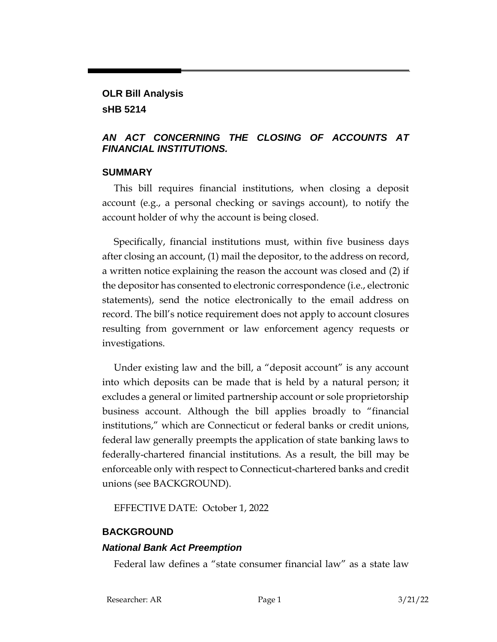### **OLR Bill Analysis sHB 5214**

### *AN ACT CONCERNING THE CLOSING OF ACCOUNTS AT FINANCIAL INSTITUTIONS.*

#### **SUMMARY**

This bill requires financial institutions, when closing a deposit account (e.g., a personal checking or savings account), to notify the account holder of why the account is being closed.

Specifically, financial institutions must, within five business days after closing an account, (1) mail the depositor, to the address on record, a written notice explaining the reason the account was closed and (2) if the depositor has consented to electronic correspondence (i.e., electronic statements), send the notice electronically to the email address on record. The bill's notice requirement does not apply to account closures resulting from government or law enforcement agency requests or investigations.

Under existing law and the bill, a "deposit account" is any account into which deposits can be made that is held by a natural person; it excludes a general or limited partnership account or sole proprietorship business account. Although the bill applies broadly to "financial institutions," which are Connecticut or federal banks or credit unions, federal law generally preempts the application of state banking laws to federally-chartered financial institutions. As a result, the bill may be enforceable only with respect to Connecticut-chartered banks and credit unions (see BACKGROUND).

EFFECTIVE DATE: October 1, 2022

## **BACKGROUND**

## *National Bank Act Preemption*

Federal law defines a "state consumer financial law" as a state law